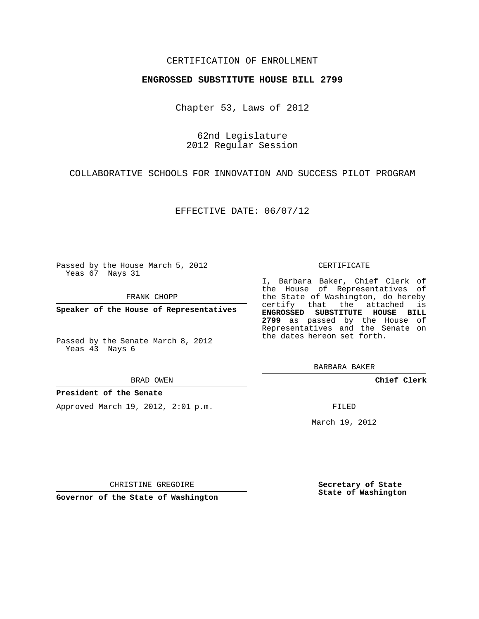### CERTIFICATION OF ENROLLMENT

#### **ENGROSSED SUBSTITUTE HOUSE BILL 2799**

Chapter 53, Laws of 2012

62nd Legislature 2012 Regular Session

COLLABORATIVE SCHOOLS FOR INNOVATION AND SUCCESS PILOT PROGRAM

EFFECTIVE DATE: 06/07/12

Passed by the House March 5, 2012 Yeas 67 Nays 31

FRANK CHOPP

**Speaker of the House of Representatives**

Passed by the Senate March 8, 2012 Yeas 43 Nays 6

BRAD OWEN

#### **President of the Senate**

Approved March 19, 2012, 2:01 p.m.

#### CERTIFICATE

I, Barbara Baker, Chief Clerk of the House of Representatives of the State of Washington, do hereby certify that the attached is **ENGROSSED SUBSTITUTE HOUSE BILL 2799** as passed by the House of Representatives and the Senate on the dates hereon set forth.

BARBARA BAKER

**Chief Clerk**

FILED

March 19, 2012

**Secretary of State State of Washington**

CHRISTINE GREGOIRE

**Governor of the State of Washington**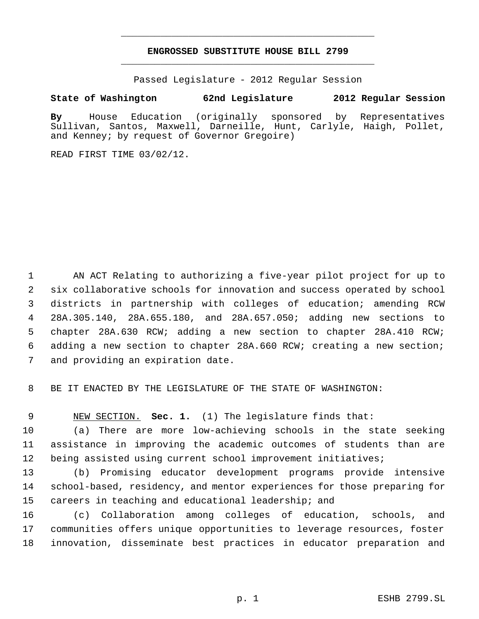# **ENGROSSED SUBSTITUTE HOUSE BILL 2799** \_\_\_\_\_\_\_\_\_\_\_\_\_\_\_\_\_\_\_\_\_\_\_\_\_\_\_\_\_\_\_\_\_\_\_\_\_\_\_\_\_\_\_\_\_

\_\_\_\_\_\_\_\_\_\_\_\_\_\_\_\_\_\_\_\_\_\_\_\_\_\_\_\_\_\_\_\_\_\_\_\_\_\_\_\_\_\_\_\_\_

Passed Legislature - 2012 Regular Session

## **State of Washington 62nd Legislature 2012 Regular Session**

**By** House Education (originally sponsored by Representatives Sullivan, Santos, Maxwell, Darneille, Hunt, Carlyle, Haigh, Pollet, and Kenney; by request of Governor Gregoire)

READ FIRST TIME 03/02/12.

 AN ACT Relating to authorizing a five-year pilot project for up to six collaborative schools for innovation and success operated by school districts in partnership with colleges of education; amending RCW 28A.305.140, 28A.655.180, and 28A.657.050; adding new sections to chapter 28A.630 RCW; adding a new section to chapter 28A.410 RCW; adding a new section to chapter 28A.660 RCW; creating a new section; and providing an expiration date.

BE IT ENACTED BY THE LEGISLATURE OF THE STATE OF WASHINGTON:

NEW SECTION. **Sec. 1.** (1) The legislature finds that:

 (a) There are more low-achieving schools in the state seeking assistance in improving the academic outcomes of students than are being assisted using current school improvement initiatives;

 (b) Promising educator development programs provide intensive school-based, residency, and mentor experiences for those preparing for careers in teaching and educational leadership; and

 (c) Collaboration among colleges of education, schools, and communities offers unique opportunities to leverage resources, foster innovation, disseminate best practices in educator preparation and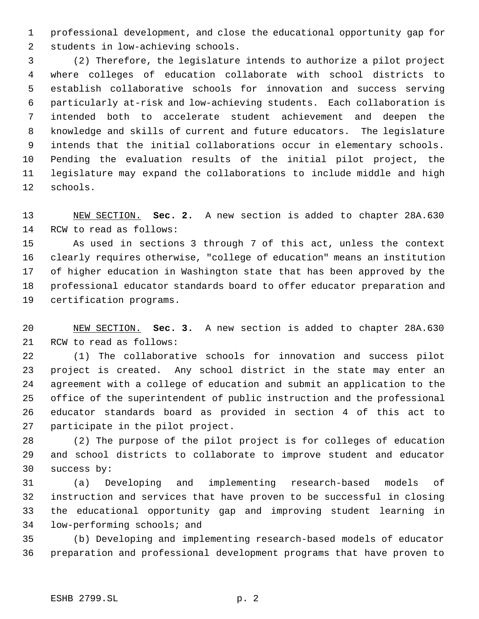professional development, and close the educational opportunity gap for students in low-achieving schools.

 (2) Therefore, the legislature intends to authorize a pilot project where colleges of education collaborate with school districts to establish collaborative schools for innovation and success serving particularly at-risk and low-achieving students. Each collaboration is intended both to accelerate student achievement and deepen the knowledge and skills of current and future educators. The legislature intends that the initial collaborations occur in elementary schools. Pending the evaluation results of the initial pilot project, the legislature may expand the collaborations to include middle and high schools.

 NEW SECTION. **Sec. 2.** A new section is added to chapter 28A.630 RCW to read as follows:

 As used in sections 3 through 7 of this act, unless the context clearly requires otherwise, "college of education" means an institution of higher education in Washington state that has been approved by the professional educator standards board to offer educator preparation and certification programs.

 NEW SECTION. **Sec. 3.** A new section is added to chapter 28A.630 RCW to read as follows:

 (1) The collaborative schools for innovation and success pilot project is created. Any school district in the state may enter an agreement with a college of education and submit an application to the office of the superintendent of public instruction and the professional educator standards board as provided in section 4 of this act to participate in the pilot project.

 (2) The purpose of the pilot project is for colleges of education and school districts to collaborate to improve student and educator success by:

 (a) Developing and implementing research-based models of instruction and services that have proven to be successful in closing the educational opportunity gap and improving student learning in low-performing schools; and

 (b) Developing and implementing research-based models of educator preparation and professional development programs that have proven to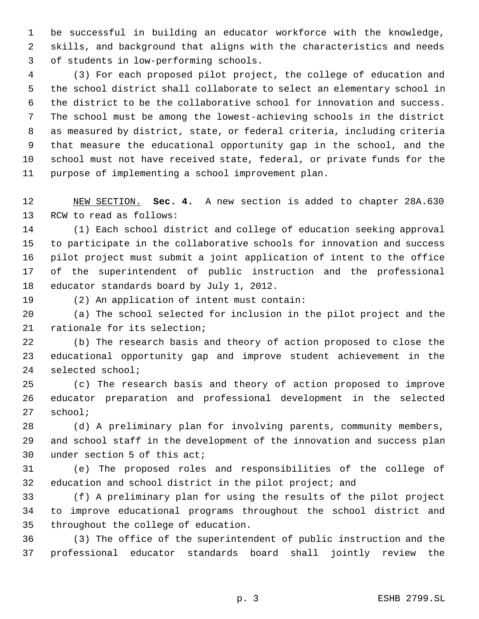be successful in building an educator workforce with the knowledge, skills, and background that aligns with the characteristics and needs of students in low-performing schools.

 (3) For each proposed pilot project, the college of education and the school district shall collaborate to select an elementary school in the district to be the collaborative school for innovation and success. The school must be among the lowest-achieving schools in the district as measured by district, state, or federal criteria, including criteria that measure the educational opportunity gap in the school, and the school must not have received state, federal, or private funds for the purpose of implementing a school improvement plan.

 NEW SECTION. **Sec. 4.** A new section is added to chapter 28A.630 RCW to read as follows:

 (1) Each school district and college of education seeking approval to participate in the collaborative schools for innovation and success pilot project must submit a joint application of intent to the office of the superintendent of public instruction and the professional educator standards board by July 1, 2012.

(2) An application of intent must contain:

 (a) The school selected for inclusion in the pilot project and the rationale for its selection;

 (b) The research basis and theory of action proposed to close the educational opportunity gap and improve student achievement in the selected school;

 (c) The research basis and theory of action proposed to improve educator preparation and professional development in the selected school;

 (d) A preliminary plan for involving parents, community members, and school staff in the development of the innovation and success plan under section 5 of this act;

 (e) The proposed roles and responsibilities of the college of education and school district in the pilot project; and

 (f) A preliminary plan for using the results of the pilot project to improve educational programs throughout the school district and throughout the college of education.

 (3) The office of the superintendent of public instruction and the professional educator standards board shall jointly review the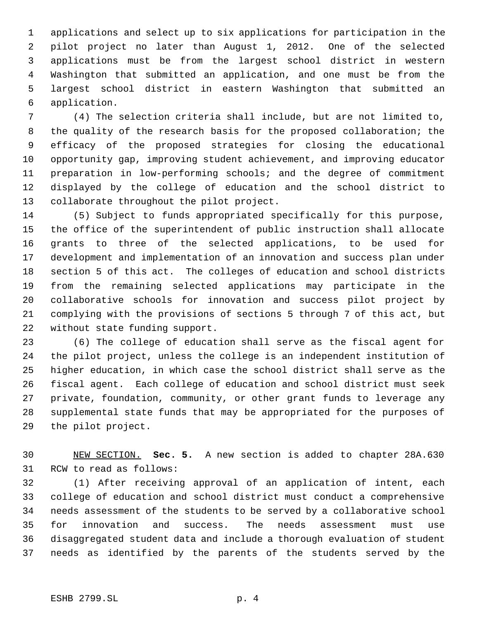applications and select up to six applications for participation in the pilot project no later than August 1, 2012. One of the selected applications must be from the largest school district in western Washington that submitted an application, and one must be from the largest school district in eastern Washington that submitted an application.

 (4) The selection criteria shall include, but are not limited to, the quality of the research basis for the proposed collaboration; the efficacy of the proposed strategies for closing the educational opportunity gap, improving student achievement, and improving educator preparation in low-performing schools; and the degree of commitment displayed by the college of education and the school district to collaborate throughout the pilot project.

 (5) Subject to funds appropriated specifically for this purpose, the office of the superintendent of public instruction shall allocate grants to three of the selected applications, to be used for development and implementation of an innovation and success plan under section 5 of this act. The colleges of education and school districts from the remaining selected applications may participate in the collaborative schools for innovation and success pilot project by complying with the provisions of sections 5 through 7 of this act, but without state funding support.

 (6) The college of education shall serve as the fiscal agent for the pilot project, unless the college is an independent institution of higher education, in which case the school district shall serve as the fiscal agent. Each college of education and school district must seek private, foundation, community, or other grant funds to leverage any supplemental state funds that may be appropriated for the purposes of the pilot project.

 NEW SECTION. **Sec. 5.** A new section is added to chapter 28A.630 RCW to read as follows:

 (1) After receiving approval of an application of intent, each college of education and school district must conduct a comprehensive needs assessment of the students to be served by a collaborative school for innovation and success. The needs assessment must use disaggregated student data and include a thorough evaluation of student needs as identified by the parents of the students served by the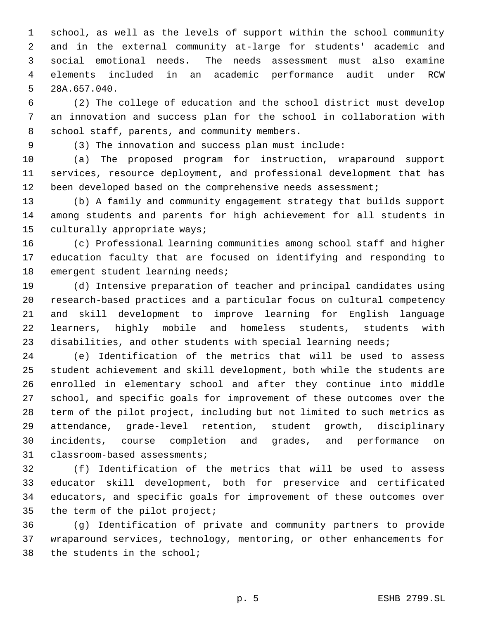school, as well as the levels of support within the school community and in the external community at-large for students' academic and social emotional needs. The needs assessment must also examine elements included in an academic performance audit under RCW 28A.657.040.

 (2) The college of education and the school district must develop an innovation and success plan for the school in collaboration with school staff, parents, and community members.

(3) The innovation and success plan must include:

 (a) The proposed program for instruction, wraparound support services, resource deployment, and professional development that has 12 been developed based on the comprehensive needs assessment;

 (b) A family and community engagement strategy that builds support among students and parents for high achievement for all students in culturally appropriate ways;

 (c) Professional learning communities among school staff and higher education faculty that are focused on identifying and responding to 18 emergent student learning needs;

 (d) Intensive preparation of teacher and principal candidates using research-based practices and a particular focus on cultural competency and skill development to improve learning for English language learners, highly mobile and homeless students, students with disabilities, and other students with special learning needs;

 (e) Identification of the metrics that will be used to assess student achievement and skill development, both while the students are enrolled in elementary school and after they continue into middle school, and specific goals for improvement of these outcomes over the term of the pilot project, including but not limited to such metrics as attendance, grade-level retention, student growth, disciplinary incidents, course completion and grades, and performance on classroom-based assessments;

 (f) Identification of the metrics that will be used to assess educator skill development, both for preservice and certificated educators, and specific goals for improvement of these outcomes over the term of the pilot project;

 (g) Identification of private and community partners to provide wraparound services, technology, mentoring, or other enhancements for the students in the school;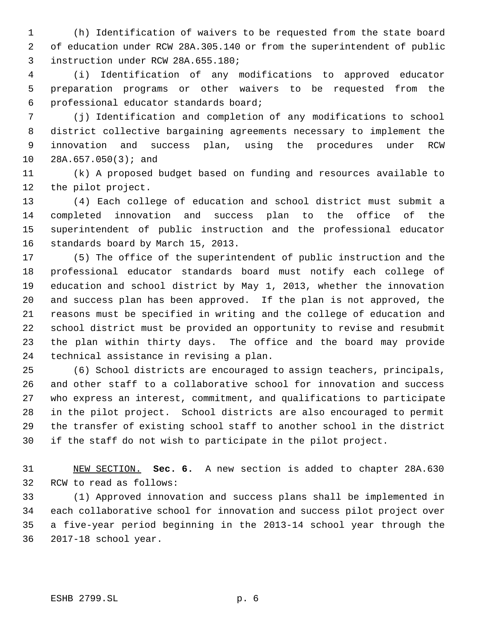(h) Identification of waivers to be requested from the state board of education under RCW 28A.305.140 or from the superintendent of public instruction under RCW 28A.655.180;

 (i) Identification of any modifications to approved educator preparation programs or other waivers to be requested from the professional educator standards board;

 (j) Identification and completion of any modifications to school district collective bargaining agreements necessary to implement the innovation and success plan, using the procedures under RCW 28A.657.050(3); and

 (k) A proposed budget based on funding and resources available to the pilot project.

 (4) Each college of education and school district must submit a completed innovation and success plan to the office of the superintendent of public instruction and the professional educator standards board by March 15, 2013.

 (5) The office of the superintendent of public instruction and the professional educator standards board must notify each college of education and school district by May 1, 2013, whether the innovation and success plan has been approved. If the plan is not approved, the reasons must be specified in writing and the college of education and school district must be provided an opportunity to revise and resubmit the plan within thirty days. The office and the board may provide technical assistance in revising a plan.

 (6) School districts are encouraged to assign teachers, principals, and other staff to a collaborative school for innovation and success who express an interest, commitment, and qualifications to participate in the pilot project. School districts are also encouraged to permit the transfer of existing school staff to another school in the district if the staff do not wish to participate in the pilot project.

 NEW SECTION. **Sec. 6.** A new section is added to chapter 28A.630 RCW to read as follows:

 (1) Approved innovation and success plans shall be implemented in each collaborative school for innovation and success pilot project over a five-year period beginning in the 2013-14 school year through the 2017-18 school year.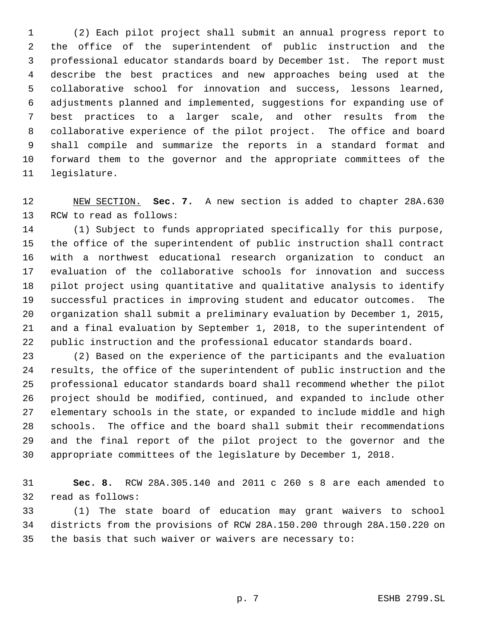(2) Each pilot project shall submit an annual progress report to the office of the superintendent of public instruction and the professional educator standards board by December 1st. The report must describe the best practices and new approaches being used at the collaborative school for innovation and success, lessons learned, adjustments planned and implemented, suggestions for expanding use of best practices to a larger scale, and other results from the collaborative experience of the pilot project. The office and board shall compile and summarize the reports in a standard format and forward them to the governor and the appropriate committees of the legislature.

 NEW SECTION. **Sec. 7.** A new section is added to chapter 28A.630 RCW to read as follows:

 (1) Subject to funds appropriated specifically for this purpose, the office of the superintendent of public instruction shall contract with a northwest educational research organization to conduct an evaluation of the collaborative schools for innovation and success pilot project using quantitative and qualitative analysis to identify successful practices in improving student and educator outcomes. The organization shall submit a preliminary evaluation by December 1, 2015, and a final evaluation by September 1, 2018, to the superintendent of public instruction and the professional educator standards board.

 (2) Based on the experience of the participants and the evaluation results, the office of the superintendent of public instruction and the professional educator standards board shall recommend whether the pilot project should be modified, continued, and expanded to include other elementary schools in the state, or expanded to include middle and high schools. The office and the board shall submit their recommendations and the final report of the pilot project to the governor and the appropriate committees of the legislature by December 1, 2018.

 **Sec. 8.** RCW 28A.305.140 and 2011 c 260 s 8 are each amended to read as follows:

 (1) The state board of education may grant waivers to school districts from the provisions of RCW 28A.150.200 through 28A.150.220 on the basis that such waiver or waivers are necessary to: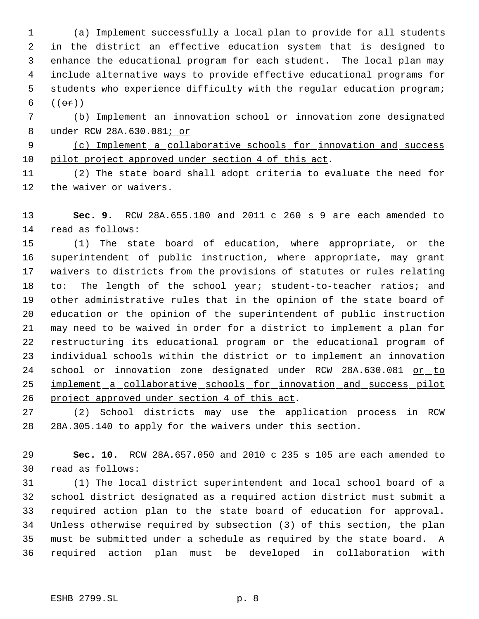(a) Implement successfully a local plan to provide for all students in the district an effective education system that is designed to enhance the educational program for each student. The local plan may include alternative ways to provide effective educational programs for students who experience difficulty with the regular education program;  $((\theta \cdot \vec{r}))$ 

 (b) Implement an innovation school or innovation zone designated under RCW 28A.630.081; or

 (c) Implement a collaborative schools for innovation and success pilot project approved under section 4 of this act.

 (2) The state board shall adopt criteria to evaluate the need for the waiver or waivers.

 **Sec. 9.** RCW 28A.655.180 and 2011 c 260 s 9 are each amended to read as follows:

 (1) The state board of education, where appropriate, or the superintendent of public instruction, where appropriate, may grant waivers to districts from the provisions of statutes or rules relating 18 to: The length of the school year; student-to-teacher ratios; and other administrative rules that in the opinion of the state board of education or the opinion of the superintendent of public instruction may need to be waived in order for a district to implement a plan for restructuring its educational program or the educational program of individual schools within the district or to implement an innovation school or innovation zone designated under RCW 28A.630.081 or to 25 implement a collaborative schools for innovation and success pilot project approved under section 4 of this act.

 (2) School districts may use the application process in RCW 28A.305.140 to apply for the waivers under this section.

 **Sec. 10.** RCW 28A.657.050 and 2010 c 235 s 105 are each amended to read as follows:

 (1) The local district superintendent and local school board of a school district designated as a required action district must submit a required action plan to the state board of education for approval. Unless otherwise required by subsection (3) of this section, the plan must be submitted under a schedule as required by the state board. A required action plan must be developed in collaboration with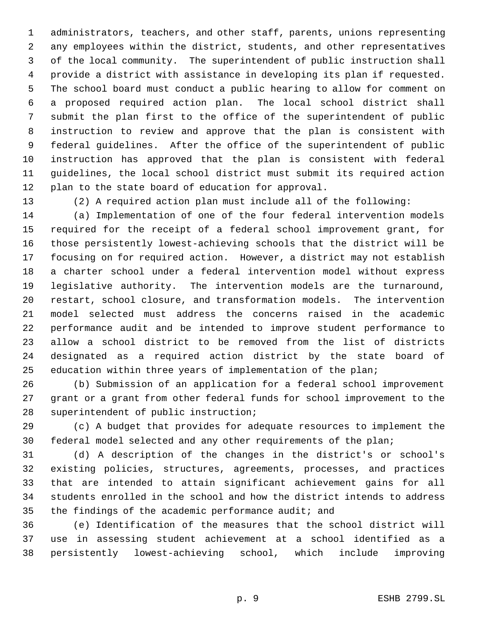administrators, teachers, and other staff, parents, unions representing any employees within the district, students, and other representatives of the local community. The superintendent of public instruction shall provide a district with assistance in developing its plan if requested. The school board must conduct a public hearing to allow for comment on a proposed required action plan. The local school district shall submit the plan first to the office of the superintendent of public instruction to review and approve that the plan is consistent with federal guidelines. After the office of the superintendent of public instruction has approved that the plan is consistent with federal guidelines, the local school district must submit its required action plan to the state board of education for approval.

(2) A required action plan must include all of the following:

 (a) Implementation of one of the four federal intervention models required for the receipt of a federal school improvement grant, for those persistently lowest-achieving schools that the district will be focusing on for required action. However, a district may not establish a charter school under a federal intervention model without express legislative authority. The intervention models are the turnaround, restart, school closure, and transformation models. The intervention model selected must address the concerns raised in the academic performance audit and be intended to improve student performance to allow a school district to be removed from the list of districts designated as a required action district by the state board of 25 education within three years of implementation of the plan;

 (b) Submission of an application for a federal school improvement grant or a grant from other federal funds for school improvement to the superintendent of public instruction;

 (c) A budget that provides for adequate resources to implement the federal model selected and any other requirements of the plan;

 (d) A description of the changes in the district's or school's existing policies, structures, agreements, processes, and practices that are intended to attain significant achievement gains for all students enrolled in the school and how the district intends to address the findings of the academic performance audit; and

 (e) Identification of the measures that the school district will use in assessing student achievement at a school identified as a persistently lowest-achieving school, which include improving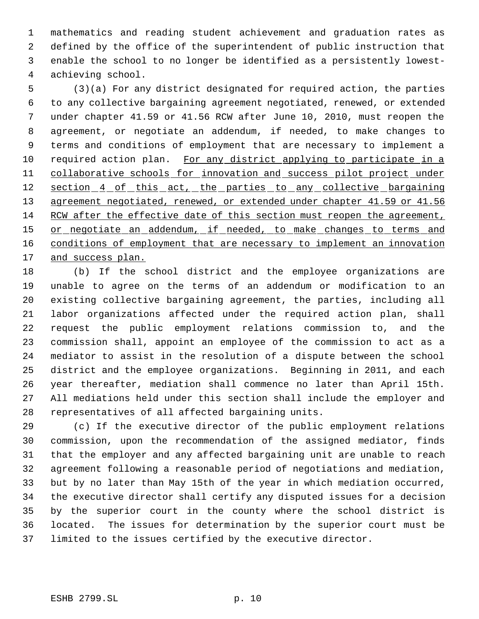mathematics and reading student achievement and graduation rates as defined by the office of the superintendent of public instruction that enable the school to no longer be identified as a persistently lowest- achieving school.

 (3)(a) For any district designated for required action, the parties to any collective bargaining agreement negotiated, renewed, or extended under chapter 41.59 or 41.56 RCW after June 10, 2010, must reopen the agreement, or negotiate an addendum, if needed, to make changes to terms and conditions of employment that are necessary to implement a 10 required action plan. For any district applying to participate in a 11 collaborative schools for innovation and success pilot project under 12 section 4 of this act, the parties to any collective bargaining 13 agreement negotiated, renewed, or extended under chapter 41.59 or 41.56 14 RCW after the effective date of this section must reopen the agreement, 15 or negotiate an addendum, if needed, to make changes to terms and 16 conditions of employment that are necessary to implement an innovation 17 and success plan.

 (b) If the school district and the employee organizations are unable to agree on the terms of an addendum or modification to an existing collective bargaining agreement, the parties, including all labor organizations affected under the required action plan, shall request the public employment relations commission to, and the commission shall, appoint an employee of the commission to act as a mediator to assist in the resolution of a dispute between the school district and the employee organizations. Beginning in 2011, and each year thereafter, mediation shall commence no later than April 15th. All mediations held under this section shall include the employer and representatives of all affected bargaining units.

 (c) If the executive director of the public employment relations commission, upon the recommendation of the assigned mediator, finds that the employer and any affected bargaining unit are unable to reach agreement following a reasonable period of negotiations and mediation, but by no later than May 15th of the year in which mediation occurred, the executive director shall certify any disputed issues for a decision by the superior court in the county where the school district is located. The issues for determination by the superior court must be limited to the issues certified by the executive director.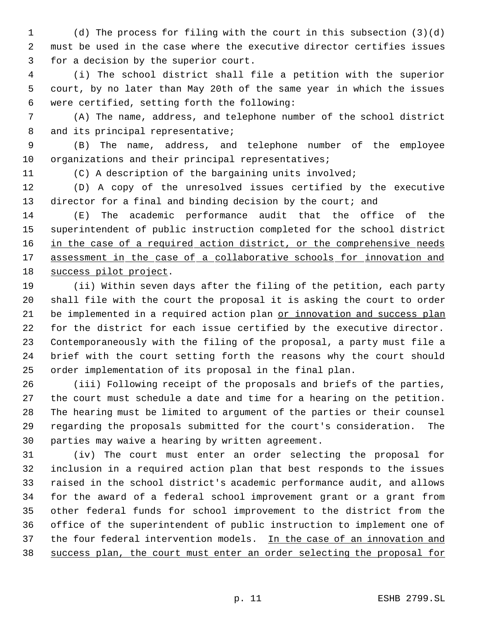(d) The process for filing with the court in this subsection (3)(d) must be used in the case where the executive director certifies issues for a decision by the superior court.

 (i) The school district shall file a petition with the superior court, by no later than May 20th of the same year in which the issues were certified, setting forth the following:

 (A) The name, address, and telephone number of the school district 8 and its principal representative;

 (B) The name, address, and telephone number of the employee 10 organizations and their principal representatives;

(C) A description of the bargaining units involved;

 (D) A copy of the unresolved issues certified by the executive 13 director for a final and binding decision by the court; and

 (E) The academic performance audit that the office of the superintendent of public instruction completed for the school district 16 in the case of a required action district, or the comprehensive needs 17 assessment in the case of a collaborative schools for innovation and success pilot project.

 (ii) Within seven days after the filing of the petition, each party shall file with the court the proposal it is asking the court to order 21 be implemented in a required action plan or innovation and success plan for the district for each issue certified by the executive director. Contemporaneously with the filing of the proposal, a party must file a brief with the court setting forth the reasons why the court should order implementation of its proposal in the final plan.

 (iii) Following receipt of the proposals and briefs of the parties, the court must schedule a date and time for a hearing on the petition. The hearing must be limited to argument of the parties or their counsel regarding the proposals submitted for the court's consideration. The parties may waive a hearing by written agreement.

 (iv) The court must enter an order selecting the proposal for inclusion in a required action plan that best responds to the issues raised in the school district's academic performance audit, and allows for the award of a federal school improvement grant or a grant from other federal funds for school improvement to the district from the office of the superintendent of public instruction to implement one of 37 the four federal intervention models. In the case of an innovation and success plan, the court must enter an order selecting the proposal for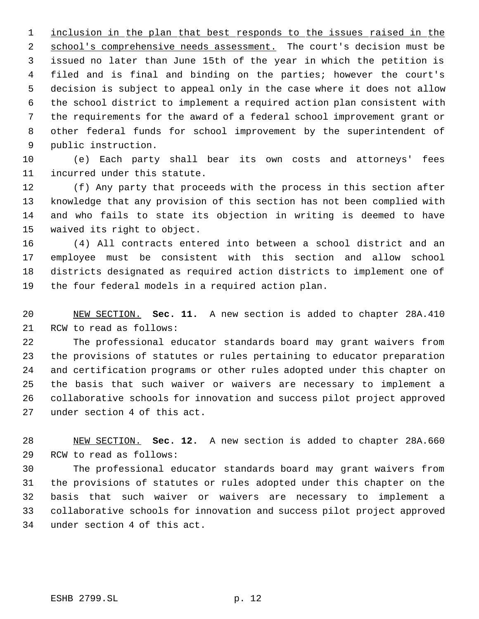1 inclusion in the plan that best responds to the issues raised in the 2 school's comprehensive needs assessment. The court's decision must be issued no later than June 15th of the year in which the petition is filed and is final and binding on the parties; however the court's decision is subject to appeal only in the case where it does not allow the school district to implement a required action plan consistent with the requirements for the award of a federal school improvement grant or other federal funds for school improvement by the superintendent of public instruction.

 (e) Each party shall bear its own costs and attorneys' fees incurred under this statute.

 (f) Any party that proceeds with the process in this section after knowledge that any provision of this section has not been complied with and who fails to state its objection in writing is deemed to have waived its right to object.

 (4) All contracts entered into between a school district and an employee must be consistent with this section and allow school districts designated as required action districts to implement one of the four federal models in a required action plan.

 NEW SECTION. **Sec. 11.** A new section is added to chapter 28A.410 RCW to read as follows:

 The professional educator standards board may grant waivers from the provisions of statutes or rules pertaining to educator preparation and certification programs or other rules adopted under this chapter on the basis that such waiver or waivers are necessary to implement a collaborative schools for innovation and success pilot project approved under section 4 of this act.

 NEW SECTION. **Sec. 12.** A new section is added to chapter 28A.660 RCW to read as follows:

 The professional educator standards board may grant waivers from the provisions of statutes or rules adopted under this chapter on the basis that such waiver or waivers are necessary to implement a collaborative schools for innovation and success pilot project approved under section 4 of this act.